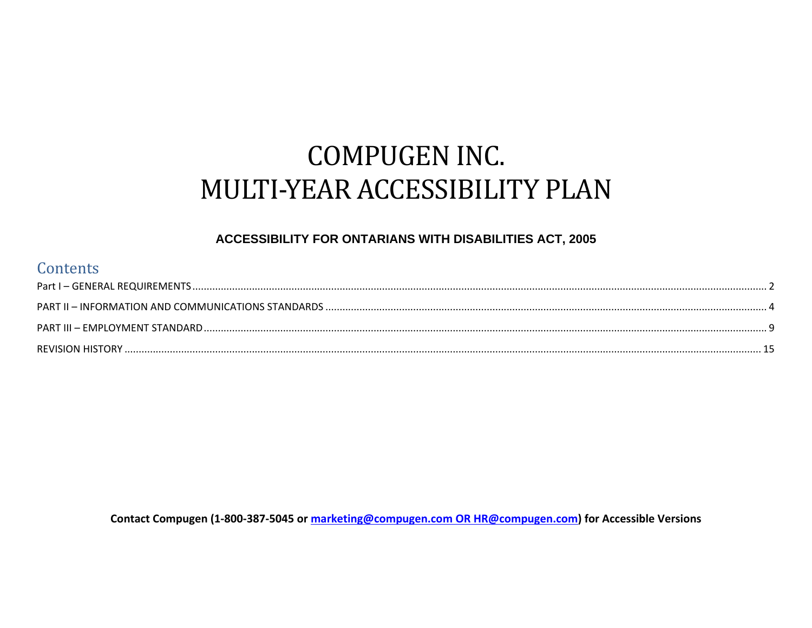# **COMPUGEN INC.** MULTI-YEAR ACCESSIBILITY PLAN

#### ACCESSIBILITY FOR ONTARIANS WITH DISABILITIES ACT, 2005

### Contents

Contact Compugen (1-800-387-5045 or marketing@compugen.com OR HR@compugen.com) for Accessible Versions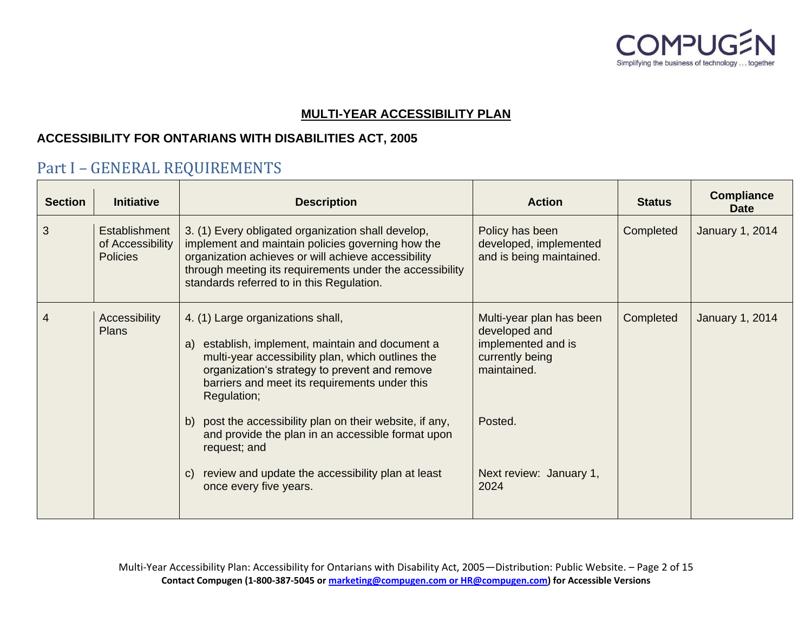

#### **MULTI-YEAR ACCESSIBILITY PLAN**

#### **ACCESSIBILITY FOR ONTARIANS WITH DISABILITIES ACT, 2005**

## <span id="page-1-0"></span>Part I – GENERAL REQUIREMENTS

| <b>Section</b> | <b>Initiative</b>                                    | <b>Description</b>                                                                                                                                                                                                                                                      | <b>Action</b>                                                                                     | <b>Status</b> | <b>Compliance</b><br><b>Date</b> |
|----------------|------------------------------------------------------|-------------------------------------------------------------------------------------------------------------------------------------------------------------------------------------------------------------------------------------------------------------------------|---------------------------------------------------------------------------------------------------|---------------|----------------------------------|
| 3              | Establishment<br>of Accessibility<br><b>Policies</b> | 3. (1) Every obligated organization shall develop,<br>implement and maintain policies governing how the<br>organization achieves or will achieve accessibility<br>through meeting its requirements under the accessibility<br>standards referred to in this Regulation. | Policy has been<br>developed, implemented<br>and is being maintained.                             | Completed     | January 1, 2014                  |
| 4              | Accessibility<br><b>Plans</b>                        | 4. (1) Large organizations shall,<br>establish, implement, maintain and document a<br>a)<br>multi-year accessibility plan, which outlines the<br>organization's strategy to prevent and remove<br>barriers and meet its requirements under this<br>Regulation;          | Multi-year plan has been<br>developed and<br>implemented and is<br>currently being<br>maintained. | Completed     | January 1, 2014                  |
|                |                                                      | post the accessibility plan on their website, if any,<br>b)<br>and provide the plan in an accessible format upon<br>request; and                                                                                                                                        | Posted.                                                                                           |               |                                  |
|                |                                                      | review and update the accessibility plan at least<br>$\mathcal{C}$<br>once every five years.                                                                                                                                                                            | Next review: January 1,<br>2024                                                                   |               |                                  |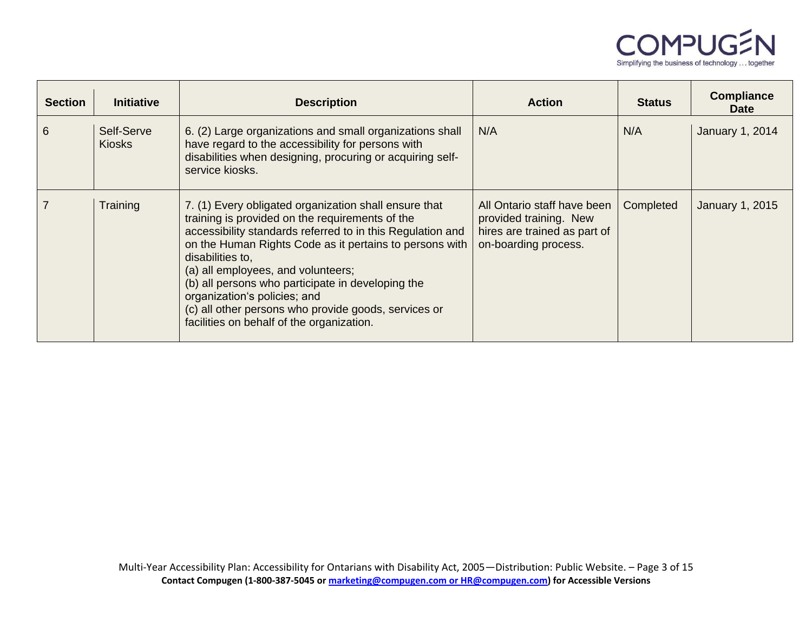

| <b>Section</b> | <b>Initiative</b>           | <b>Description</b>                                                                                                                                                                                                                                                                                                                                                                                                                                                                    | <b>Action</b>                                                                                                 | <b>Status</b> | <b>Compliance</b><br><b>Date</b> |
|----------------|-----------------------------|---------------------------------------------------------------------------------------------------------------------------------------------------------------------------------------------------------------------------------------------------------------------------------------------------------------------------------------------------------------------------------------------------------------------------------------------------------------------------------------|---------------------------------------------------------------------------------------------------------------|---------------|----------------------------------|
| 6              | Self-Serve<br><b>Kiosks</b> | 6. (2) Large organizations and small organizations shall<br>have regard to the accessibility for persons with<br>disabilities when designing, procuring or acquiring self-<br>service kiosks.                                                                                                                                                                                                                                                                                         | N/A                                                                                                           | N/A           | January 1, 2014                  |
|                | Training                    | 7. (1) Every obligated organization shall ensure that<br>training is provided on the requirements of the<br>accessibility standards referred to in this Regulation and<br>on the Human Rights Code as it pertains to persons with<br>disabilities to,<br>(a) all employees, and volunteers;<br>(b) all persons who participate in developing the<br>organization's policies; and<br>(c) all other persons who provide goods, services or<br>facilities on behalf of the organization. | All Ontario staff have been<br>provided training. New<br>hires are trained as part of<br>on-boarding process. | Completed     | <b>January 1, 2015</b>           |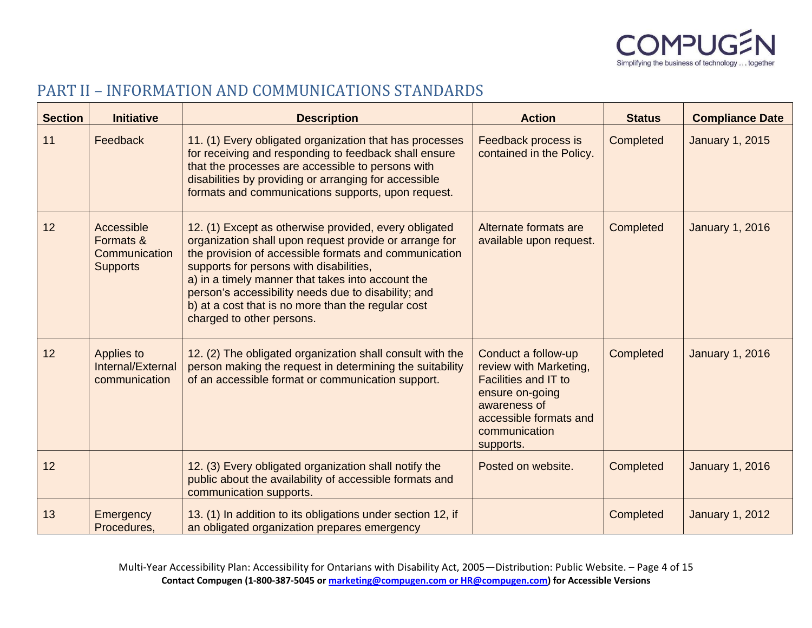

# <span id="page-3-0"></span>PART II – INFORMATION AND COMMUNICATIONS STANDARDS

| <b>Section</b> | <b>Initiative</b>                                           | <b>Description</b>                                                                                                                                                                                                                                                                                                                                                                                                 | <b>Action</b>                                                                                                                                                           | <b>Status</b> | <b>Compliance Date</b> |
|----------------|-------------------------------------------------------------|--------------------------------------------------------------------------------------------------------------------------------------------------------------------------------------------------------------------------------------------------------------------------------------------------------------------------------------------------------------------------------------------------------------------|-------------------------------------------------------------------------------------------------------------------------------------------------------------------------|---------------|------------------------|
| 11             | Feedback                                                    | 11. (1) Every obligated organization that has processes<br>for receiving and responding to feedback shall ensure<br>that the processes are accessible to persons with<br>disabilities by providing or arranging for accessible<br>formats and communications supports, upon request.                                                                                                                               | Feedback process is<br>contained in the Policy.                                                                                                                         | Completed     | <b>January 1, 2015</b> |
| 12             | Accessible<br>Formats &<br>Communication<br><b>Supports</b> | 12. (1) Except as otherwise provided, every obligated<br>organization shall upon request provide or arrange for<br>the provision of accessible formats and communication<br>supports for persons with disabilities,<br>a) in a timely manner that takes into account the<br>person's accessibility needs due to disability; and<br>b) at a cost that is no more than the regular cost<br>charged to other persons. | Alternate formats are<br>available upon request.                                                                                                                        | Completed     | <b>January 1, 2016</b> |
| 12             | Applies to<br>Internal/External<br>communication            | 12. (2) The obligated organization shall consult with the<br>person making the request in determining the suitability<br>of an accessible format or communication support.                                                                                                                                                                                                                                         | Conduct a follow-up<br>review with Marketing,<br><b>Facilities and IT to</b><br>ensure on-going<br>awareness of<br>accessible formats and<br>communication<br>supports. | Completed     | <b>January 1, 2016</b> |
| 12             |                                                             | 12. (3) Every obligated organization shall notify the<br>public about the availability of accessible formats and<br>communication supports.                                                                                                                                                                                                                                                                        | Posted on website.                                                                                                                                                      | Completed     | <b>January 1, 2016</b> |
| 13             | Emergency<br>Procedures.                                    | 13. (1) In addition to its obligations under section 12, if<br>an obligated organization prepares emergency                                                                                                                                                                                                                                                                                                        |                                                                                                                                                                         | Completed     | <b>January 1, 2012</b> |

Multi-Year Accessibility Plan: Accessibility for Ontarians with Disability Act, 2005—Distribution: Public Website. – Page 4 of 15 **Contact Compugen (1-800-387-5045 o[r marketing@compugen.com](mailto:marketing@compugen.com) or HR@compugen.com) for Accessible Versions**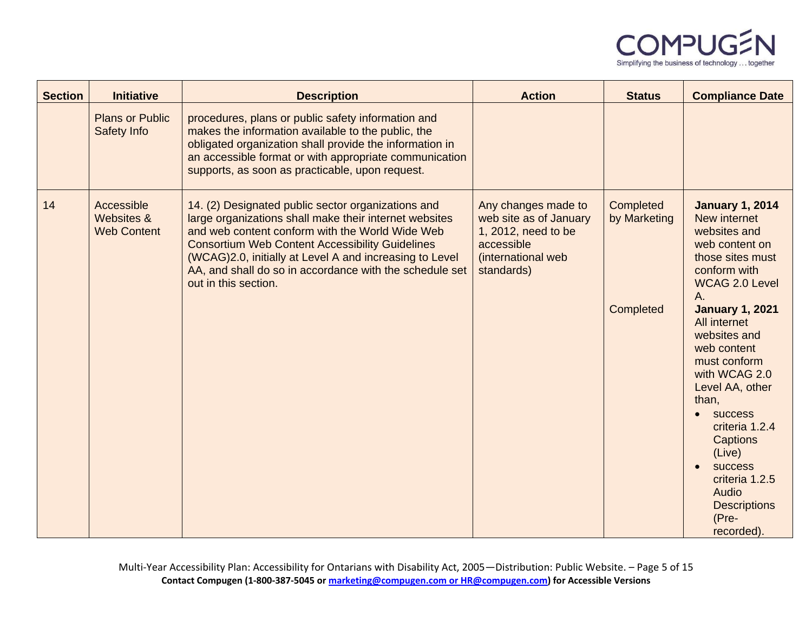

| <b>Section</b> | <b>Initiative</b>                              | <b>Description</b>                                                                                                                                                                                                                                                                                                                                                      | <b>Action</b>                                                                                                          | <b>Status</b>                          | <b>Compliance Date</b>                                                                                                                                                                                                                                                                                                                                                                                                                 |
|----------------|------------------------------------------------|-------------------------------------------------------------------------------------------------------------------------------------------------------------------------------------------------------------------------------------------------------------------------------------------------------------------------------------------------------------------------|------------------------------------------------------------------------------------------------------------------------|----------------------------------------|----------------------------------------------------------------------------------------------------------------------------------------------------------------------------------------------------------------------------------------------------------------------------------------------------------------------------------------------------------------------------------------------------------------------------------------|
|                | <b>Plans or Public</b><br>Safety Info          | procedures, plans or public safety information and<br>makes the information available to the public, the<br>obligated organization shall provide the information in<br>an accessible format or with appropriate communication<br>supports, as soon as practicable, upon request.                                                                                        |                                                                                                                        |                                        |                                                                                                                                                                                                                                                                                                                                                                                                                                        |
| 14             | Accessible<br>Websites &<br><b>Web Content</b> | 14. (2) Designated public sector organizations and<br>large organizations shall make their internet websites<br>and web content conform with the World Wide Web<br><b>Consortium Web Content Accessibility Guidelines</b><br>(WCAG)2.0, initially at Level A and increasing to Level<br>AA, and shall do so in accordance with the schedule set<br>out in this section. | Any changes made to<br>web site as of January<br>1, 2012, need to be<br>accessible<br>(international web<br>standards) | Completed<br>by Marketing<br>Completed | <b>January 1, 2014</b><br>New internet<br>websites and<br>web content on<br>those sites must<br>conform with<br><b>WCAG 2.0 Level</b><br>A.<br><b>January 1, 2021</b><br>All internet<br>websites and<br>web content<br>must conform<br>with WCAG 2.0<br>Level AA, other<br>than,<br><b>SUCCESS</b><br>criteria 1.2.4<br><b>Captions</b><br>(Live)<br>success<br>criteria 1.2.5<br>Audio<br><b>Descriptions</b><br>(Pre-<br>recorded). |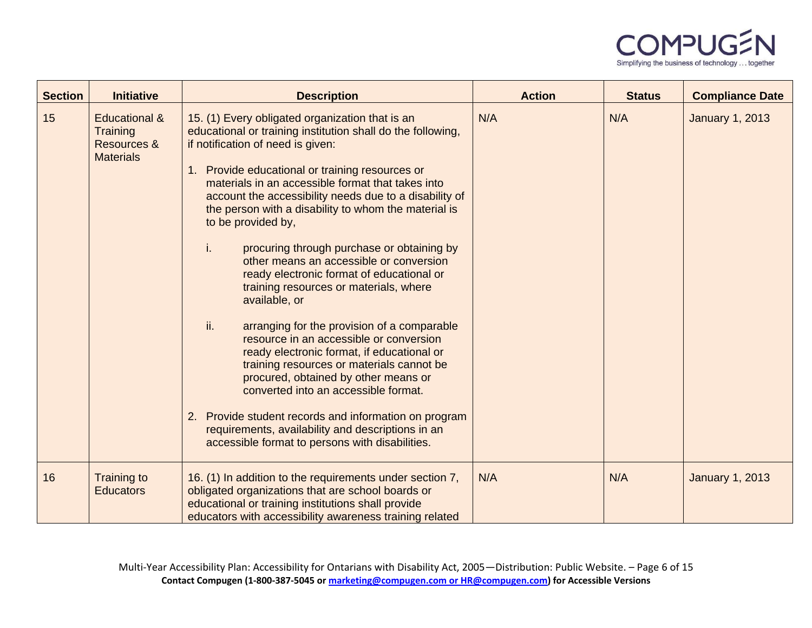

| <b>Section</b> | <b>Initiative</b>                                                              | <b>Description</b>                                                                                                                                                                                                                                                                                                                                                                                                                                                                                                                                                                                                                                                                                                                                                                                                                                                                                                                                                                                                                                      | <b>Action</b> | <b>Status</b> | <b>Compliance Date</b> |
|----------------|--------------------------------------------------------------------------------|---------------------------------------------------------------------------------------------------------------------------------------------------------------------------------------------------------------------------------------------------------------------------------------------------------------------------------------------------------------------------------------------------------------------------------------------------------------------------------------------------------------------------------------------------------------------------------------------------------------------------------------------------------------------------------------------------------------------------------------------------------------------------------------------------------------------------------------------------------------------------------------------------------------------------------------------------------------------------------------------------------------------------------------------------------|---------------|---------------|------------------------|
| 15             | <b>Educational &amp;</b><br><b>Training</b><br>Resources &<br><b>Materials</b> | 15. (1) Every obligated organization that is an<br>educational or training institution shall do the following,<br>if notification of need is given:<br>1. Provide educational or training resources or<br>materials in an accessible format that takes into<br>account the accessibility needs due to a disability of<br>the person with a disability to whom the material is<br>to be provided by,<br>procuring through purchase or obtaining by<br>i.<br>other means an accessible or conversion<br>ready electronic format of educational or<br>training resources or materials, where<br>available, or<br>ii.<br>arranging for the provision of a comparable<br>resource in an accessible or conversion<br>ready electronic format, if educational or<br>training resources or materials cannot be<br>procured, obtained by other means or<br>converted into an accessible format.<br>2. Provide student records and information on program<br>requirements, availability and descriptions in an<br>accessible format to persons with disabilities. | N/A           | N/A           | <b>January 1, 2013</b> |
| 16             | Training to<br><b>Educators</b>                                                | 16. (1) In addition to the requirements under section 7,<br>obligated organizations that are school boards or<br>educational or training institutions shall provide<br>educators with accessibility awareness training related                                                                                                                                                                                                                                                                                                                                                                                                                                                                                                                                                                                                                                                                                                                                                                                                                          | N/A           | N/A           | <b>January 1, 2013</b> |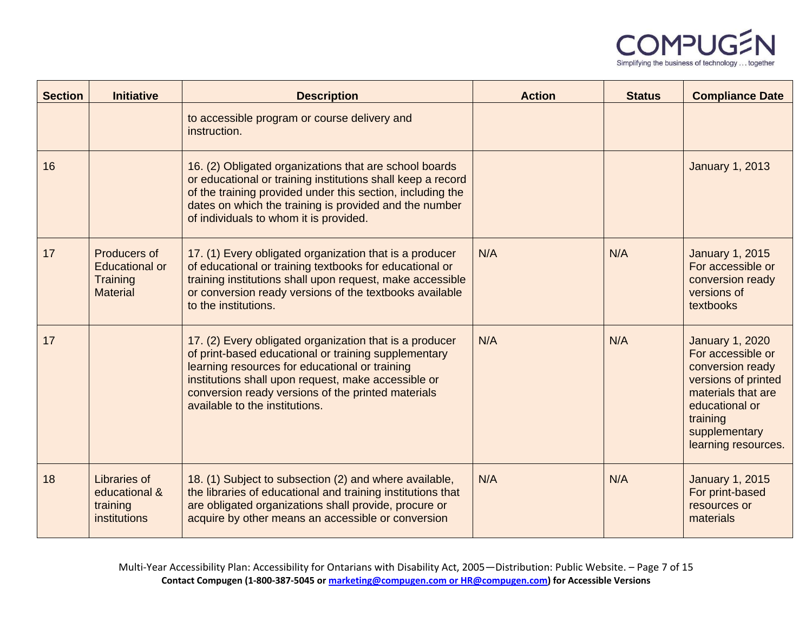

| <b>Section</b> | <b>Initiative</b>                                                    | <b>Description</b>                                                                                                                                                                                                                                                                                               | <b>Action</b> | <b>Status</b> | <b>Compliance Date</b>                                                                                                                                                             |
|----------------|----------------------------------------------------------------------|------------------------------------------------------------------------------------------------------------------------------------------------------------------------------------------------------------------------------------------------------------------------------------------------------------------|---------------|---------------|------------------------------------------------------------------------------------------------------------------------------------------------------------------------------------|
|                |                                                                      | to accessible program or course delivery and<br>instruction.                                                                                                                                                                                                                                                     |               |               |                                                                                                                                                                                    |
| 16             |                                                                      | 16. (2) Obligated organizations that are school boards<br>or educational or training institutions shall keep a record<br>of the training provided under this section, including the<br>dates on which the training is provided and the number<br>of individuals to whom it is provided.                          |               |               | <b>January 1, 2013</b>                                                                                                                                                             |
| 17             | Producers of<br><b>Educational or</b><br>Training<br><b>Material</b> | 17. (1) Every obligated organization that is a producer<br>of educational or training textbooks for educational or<br>training institutions shall upon request, make accessible<br>or conversion ready versions of the textbooks available<br>to the institutions.                                               | N/A           | N/A           | <b>January 1, 2015</b><br>For accessible or<br>conversion ready<br>versions of<br>textbooks                                                                                        |
| 17             |                                                                      | 17. (2) Every obligated organization that is a producer<br>of print-based educational or training supplementary<br>learning resources for educational or training<br>institutions shall upon request, make accessible or<br>conversion ready versions of the printed materials<br>available to the institutions. | N/A           | N/A           | <b>January 1, 2020</b><br>For accessible or<br>conversion ready<br>versions of printed<br>materials that are<br>educational or<br>training<br>supplementary<br>learning resources. |
| 18             | Libraries of<br>educational &<br>training<br>institutions            | 18. (1) Subject to subsection (2) and where available,<br>the libraries of educational and training institutions that<br>are obligated organizations shall provide, procure or<br>acquire by other means an accessible or conversion                                                                             | N/A           | N/A           | <b>January 1, 2015</b><br>For print-based<br>resources or<br>materials                                                                                                             |

Multi-Year Accessibility Plan: Accessibility for Ontarians with Disability Act, 2005—Distribution: Public Website. – Page 7 of 15 **Contact Compugen (1-800-387-5045 o[r marketing@compugen.com](mailto:marketing@compugen.com) or HR@compugen.com) for Accessible Versions**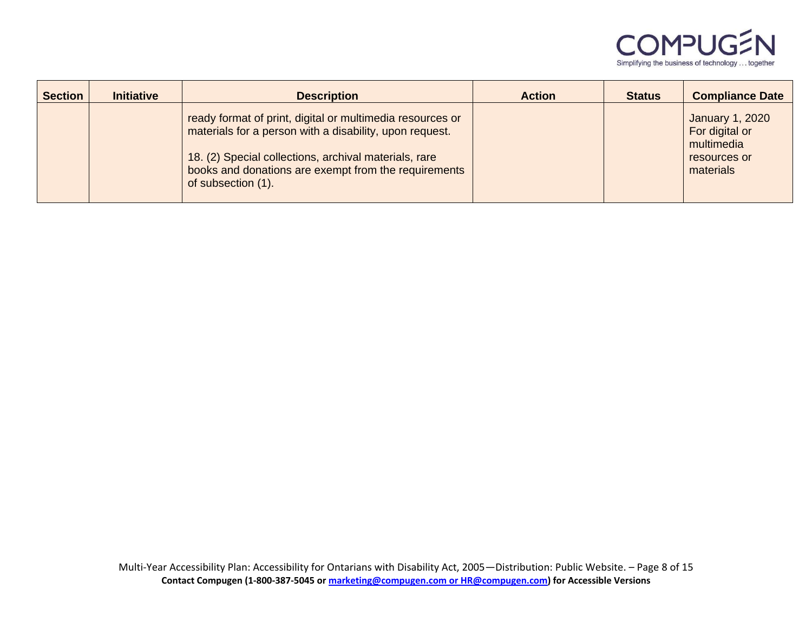

| <b>Section</b> | <b>Initiative</b> | <b>Description</b>                                                                                                                                                                                                                                          | <b>Action</b> | <b>Status</b> | <b>Compliance Date</b>                                                              |
|----------------|-------------------|-------------------------------------------------------------------------------------------------------------------------------------------------------------------------------------------------------------------------------------------------------------|---------------|---------------|-------------------------------------------------------------------------------------|
|                |                   | ready format of print, digital or multimedia resources or<br>materials for a person with a disability, upon request.<br>18. (2) Special collections, archival materials, rare<br>books and donations are exempt from the requirements<br>of subsection (1). |               |               | <b>January 1, 2020</b><br>For digital or<br>multimedia<br>resources or<br>materials |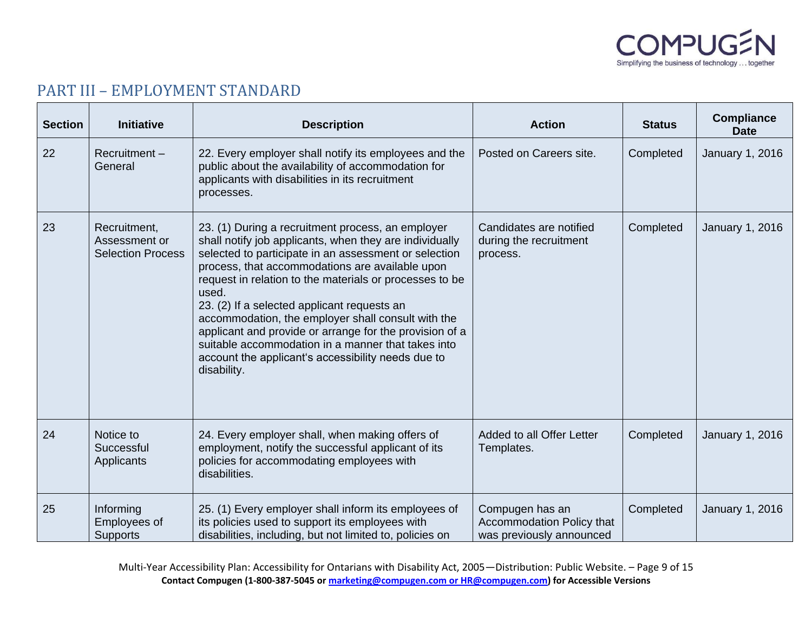

# <span id="page-8-0"></span>PART III – EMPLOYMENT STANDARD

| <b>Section</b> | <b>Initiative</b>                                         | <b>Description</b>                                                                                                                                                                                                                                                                                                                                                                                                                                                                                                                                                                      | <b>Action</b>                                                            | <b>Status</b> | <b>Compliance</b><br><b>Date</b> |
|----------------|-----------------------------------------------------------|-----------------------------------------------------------------------------------------------------------------------------------------------------------------------------------------------------------------------------------------------------------------------------------------------------------------------------------------------------------------------------------------------------------------------------------------------------------------------------------------------------------------------------------------------------------------------------------------|--------------------------------------------------------------------------|---------------|----------------------------------|
| 22             | Recruitment-<br>General                                   | 22. Every employer shall notify its employees and the<br>public about the availability of accommodation for<br>applicants with disabilities in its recruitment<br>processes.                                                                                                                                                                                                                                                                                                                                                                                                            | Posted on Careers site.                                                  | Completed     | January 1, 2016                  |
| 23             | Recruitment,<br>Assessment or<br><b>Selection Process</b> | 23. (1) During a recruitment process, an employer<br>shall notify job applicants, when they are individually<br>selected to participate in an assessment or selection<br>process, that accommodations are available upon<br>request in relation to the materials or processes to be<br>used.<br>23. (2) If a selected applicant requests an<br>accommodation, the employer shall consult with the<br>applicant and provide or arrange for the provision of a<br>suitable accommodation in a manner that takes into<br>account the applicant's accessibility needs due to<br>disability. | Candidates are notified<br>during the recruitment<br>process.            | Completed     | January 1, 2016                  |
| 24             | Notice to<br>Successful<br>Applicants                     | 24. Every employer shall, when making offers of<br>employment, notify the successful applicant of its<br>policies for accommodating employees with<br>disabilities.                                                                                                                                                                                                                                                                                                                                                                                                                     | Added to all Offer Letter<br>Templates.                                  | Completed     | January 1, 2016                  |
| 25             | Informing<br>Employees of<br><b>Supports</b>              | 25. (1) Every employer shall inform its employees of<br>its policies used to support its employees with<br>disabilities, including, but not limited to, policies on                                                                                                                                                                                                                                                                                                                                                                                                                     | Compugen has an<br>Accommodation Policy that<br>was previously announced | Completed     | January 1, 2016                  |

Multi-Year Accessibility Plan: Accessibility for Ontarians with Disability Act, 2005—Distribution: Public Website. – Page 9 of 15 **Contact Compugen (1-800-387-5045 o[r marketing@compugen.com](mailto:marketing@compugen.com) or HR@compugen.com) for Accessible Versions**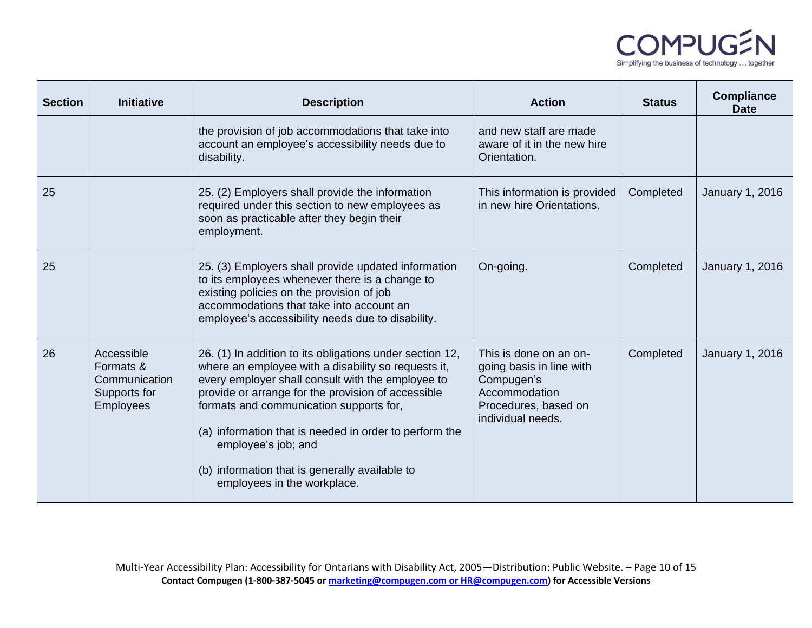

| <b>Section</b> | <b>Initiative</b>                                                            | <b>Description</b>                                                                                                                                                                                                                                                                                                                                                                                                                      | <b>Action</b>                                                                                                                  | <b>Status</b> | <b>Compliance</b><br><b>Date</b> |
|----------------|------------------------------------------------------------------------------|-----------------------------------------------------------------------------------------------------------------------------------------------------------------------------------------------------------------------------------------------------------------------------------------------------------------------------------------------------------------------------------------------------------------------------------------|--------------------------------------------------------------------------------------------------------------------------------|---------------|----------------------------------|
|                |                                                                              | the provision of job accommodations that take into<br>account an employee's accessibility needs due to<br>disability.                                                                                                                                                                                                                                                                                                                   | and new staff are made<br>aware of it in the new hire<br>Orientation.                                                          |               |                                  |
| 25             |                                                                              | 25. (2) Employers shall provide the information<br>required under this section to new employees as<br>soon as practicable after they begin their<br>employment.                                                                                                                                                                                                                                                                         | This information is provided<br>in new hire Orientations.                                                                      | Completed     | January 1, 2016                  |
| 25             |                                                                              | 25. (3) Employers shall provide updated information<br>to its employees whenever there is a change to<br>existing policies on the provision of job<br>accommodations that take into account an<br>employee's accessibility needs due to disability.                                                                                                                                                                                     | On-going.                                                                                                                      | Completed     | <b>January 1, 2016</b>           |
| 26             | Accessible<br>Formats &<br>Communication<br>Supports for<br><b>Employees</b> | 26. (1) In addition to its obligations under section 12,<br>where an employee with a disability so requests it,<br>every employer shall consult with the employee to<br>provide or arrange for the provision of accessible<br>formats and communication supports for,<br>(a) information that is needed in order to perform the<br>employee's job; and<br>(b) information that is generally available to<br>employees in the workplace. | This is done on an on-<br>going basis in line with<br>Compugen's<br>Accommodation<br>Procedures, based on<br>individual needs. | Completed     | January 1, 2016                  |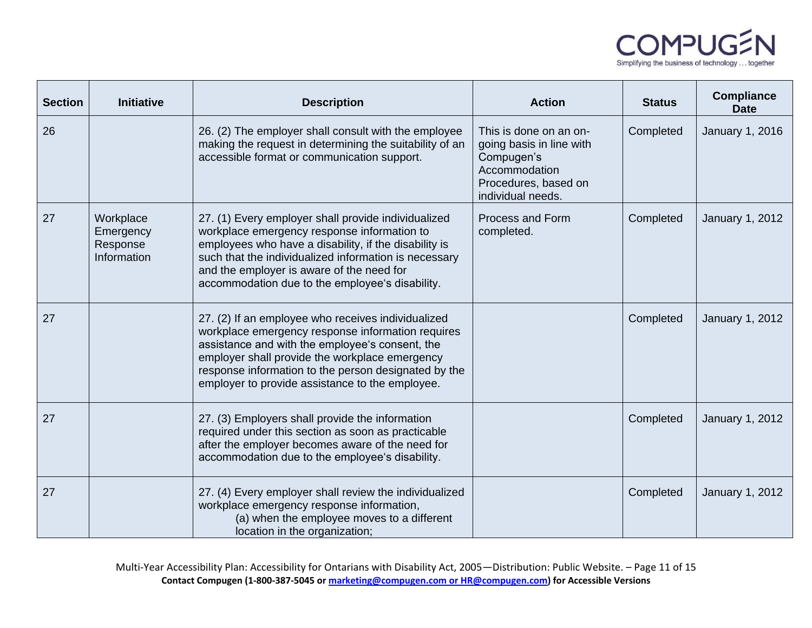

| <b>Section</b> | <b>Initiative</b>                                 | <b>Description</b>                                                                                                                                                                                                                                                                                                      | <b>Action</b>                                                                                                                  | <b>Status</b> | <b>Compliance</b><br><b>Date</b> |
|----------------|---------------------------------------------------|-------------------------------------------------------------------------------------------------------------------------------------------------------------------------------------------------------------------------------------------------------------------------------------------------------------------------|--------------------------------------------------------------------------------------------------------------------------------|---------------|----------------------------------|
| 26             |                                                   | 26. (2) The employer shall consult with the employee<br>making the request in determining the suitability of an<br>accessible format or communication support.                                                                                                                                                          | This is done on an on-<br>going basis in line with<br>Compugen's<br>Accommodation<br>Procedures, based on<br>individual needs. | Completed     | January 1, 2016                  |
| 27             | Workplace<br>Emergency<br>Response<br>Information | 27. (1) Every employer shall provide individualized<br>workplace emergency response information to<br>employees who have a disability, if the disability is<br>such that the individualized information is necessary<br>and the employer is aware of the need for<br>accommodation due to the employee's disability.    | Process and Form<br>completed.                                                                                                 | Completed     | January 1, 2012                  |
| 27             |                                                   | 27. (2) If an employee who receives individualized<br>workplace emergency response information requires<br>assistance and with the employee's consent, the<br>employer shall provide the workplace emergency<br>response information to the person designated by the<br>employer to provide assistance to the employee. |                                                                                                                                | Completed     | January 1, 2012                  |
| 27             |                                                   | 27. (3) Employers shall provide the information<br>required under this section as soon as practicable<br>after the employer becomes aware of the need for<br>accommodation due to the employee's disability.                                                                                                            |                                                                                                                                | Completed     | January 1, 2012                  |
| 27             |                                                   | 27. (4) Every employer shall review the individualized<br>workplace emergency response information,<br>(a) when the employee moves to a different<br>location in the organization;                                                                                                                                      |                                                                                                                                | Completed     | January 1, 2012                  |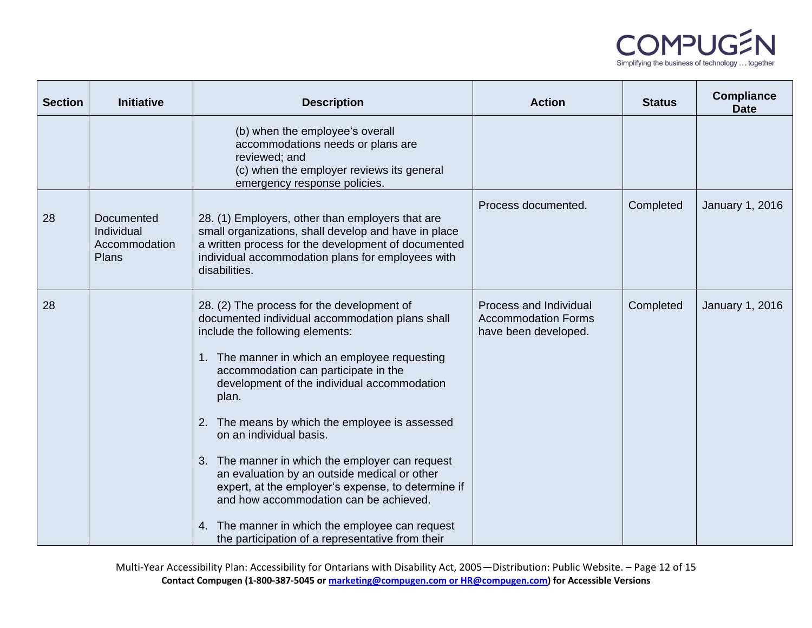

| <b>Section</b> | <b>Initiative</b>                                  | <b>Description</b>                                                                                                                                                                                                                                                                                                                                                                                                                                                                                                                                                                                                                                                          | <b>Action</b>                                                                | <b>Status</b> | <b>Compliance</b><br><b>Date</b> |
|----------------|----------------------------------------------------|-----------------------------------------------------------------------------------------------------------------------------------------------------------------------------------------------------------------------------------------------------------------------------------------------------------------------------------------------------------------------------------------------------------------------------------------------------------------------------------------------------------------------------------------------------------------------------------------------------------------------------------------------------------------------------|------------------------------------------------------------------------------|---------------|----------------------------------|
|                |                                                    | (b) when the employee's overall<br>accommodations needs or plans are<br>reviewed; and<br>(c) when the employer reviews its general<br>emergency response policies.                                                                                                                                                                                                                                                                                                                                                                                                                                                                                                          |                                                                              |               |                                  |
| 28             | Documented<br>Individual<br>Accommodation<br>Plans | 28. (1) Employers, other than employers that are<br>small organizations, shall develop and have in place<br>a written process for the development of documented<br>individual accommodation plans for employees with<br>disabilities.                                                                                                                                                                                                                                                                                                                                                                                                                                       | Process documented.                                                          | Completed     | January 1, 2016                  |
| 28             |                                                    | 28. (2) The process for the development of<br>documented individual accommodation plans shall<br>include the following elements:<br>1. The manner in which an employee requesting<br>accommodation can participate in the<br>development of the individual accommodation<br>plan.<br>The means by which the employee is assessed<br>2.<br>on an individual basis.<br>3. The manner in which the employer can request<br>an evaluation by an outside medical or other<br>expert, at the employer's expense, to determine if<br>and how accommodation can be achieved.<br>4. The manner in which the employee can request<br>the participation of a representative from their | Process and Individual<br><b>Accommodation Forms</b><br>have been developed. | Completed     | January 1, 2016                  |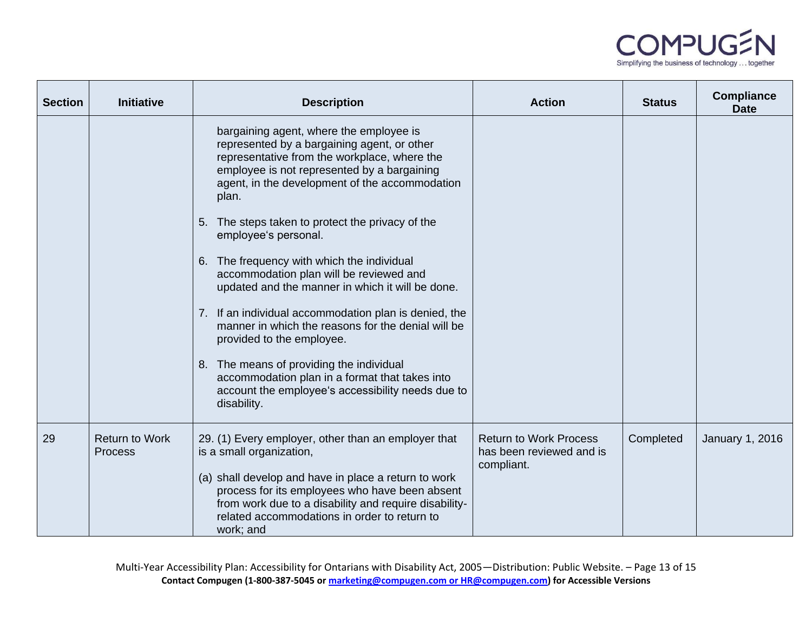

| <b>Section</b> | <b>Initiative</b>                       | <b>Description</b>                                                                                                                                                                                                                               | <b>Action</b>                                                           | <b>Status</b> | <b>Compliance</b><br><b>Date</b> |
|----------------|-----------------------------------------|--------------------------------------------------------------------------------------------------------------------------------------------------------------------------------------------------------------------------------------------------|-------------------------------------------------------------------------|---------------|----------------------------------|
|                |                                         | bargaining agent, where the employee is<br>represented by a bargaining agent, or other<br>representative from the workplace, where the<br>employee is not represented by a bargaining<br>agent, in the development of the accommodation<br>plan. |                                                                         |               |                                  |
|                |                                         | The steps taken to protect the privacy of the<br>5.<br>employee's personal.                                                                                                                                                                      |                                                                         |               |                                  |
|                |                                         | The frequency with which the individual<br>6.<br>accommodation plan will be reviewed and<br>updated and the manner in which it will be done.                                                                                                     |                                                                         |               |                                  |
|                |                                         | 7. If an individual accommodation plan is denied, the<br>manner in which the reasons for the denial will be<br>provided to the employee.                                                                                                         |                                                                         |               |                                  |
|                |                                         | 8. The means of providing the individual<br>accommodation plan in a format that takes into<br>account the employee's accessibility needs due to<br>disability.                                                                                   |                                                                         |               |                                  |
| 29             | <b>Return to Work</b><br><b>Process</b> | 29. (1) Every employer, other than an employer that<br>is a small organization,                                                                                                                                                                  | <b>Return to Work Process</b><br>has been reviewed and is<br>compliant. | Completed     | <b>January 1, 2016</b>           |
|                |                                         | (a) shall develop and have in place a return to work<br>process for its employees who have been absent<br>from work due to a disability and require disability-<br>related accommodations in order to return to<br>work; and                     |                                                                         |               |                                  |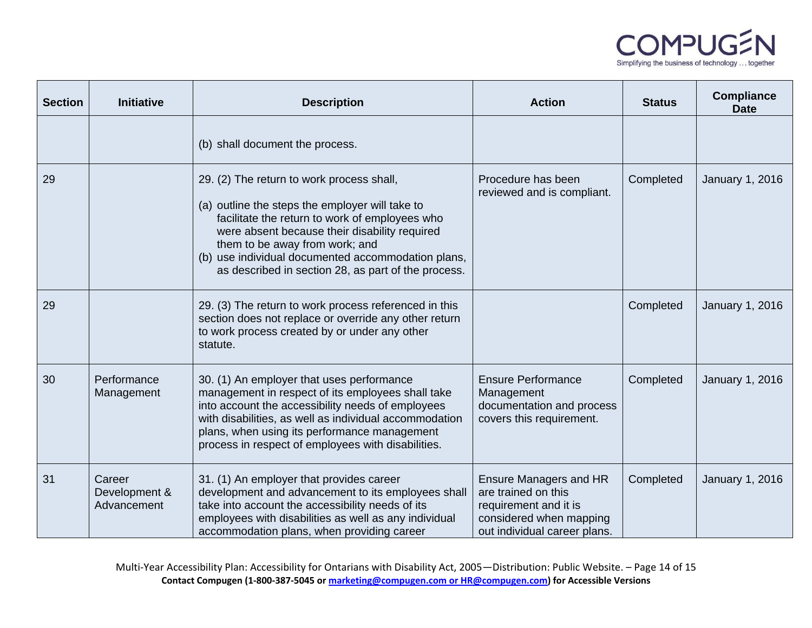

| <b>Section</b> | <b>Initiative</b>                      | <b>Description</b>                                                                                                                                                                                                                                                                                                                             | <b>Action</b>                                                                                                                            | <b>Status</b> | <b>Compliance</b><br><b>Date</b> |
|----------------|----------------------------------------|------------------------------------------------------------------------------------------------------------------------------------------------------------------------------------------------------------------------------------------------------------------------------------------------------------------------------------------------|------------------------------------------------------------------------------------------------------------------------------------------|---------------|----------------------------------|
|                |                                        | (b) shall document the process.                                                                                                                                                                                                                                                                                                                |                                                                                                                                          |               |                                  |
| 29             |                                        | 29. (2) The return to work process shall,<br>(a) outline the steps the employer will take to<br>facilitate the return to work of employees who<br>were absent because their disability required<br>them to be away from work; and<br>(b) use individual documented accommodation plans,<br>as described in section 28, as part of the process. | Procedure has been<br>reviewed and is compliant.                                                                                         | Completed     | January 1, 2016                  |
| 29             |                                        | 29. (3) The return to work process referenced in this<br>section does not replace or override any other return<br>to work process created by or under any other<br>statute.                                                                                                                                                                    |                                                                                                                                          | Completed     | January 1, 2016                  |
| 30             | Performance<br>Management              | 30. (1) An employer that uses performance<br>management in respect of its employees shall take<br>into account the accessibility needs of employees<br>with disabilities, as well as individual accommodation<br>plans, when using its performance management<br>process in respect of employees with disabilities.                            | <b>Ensure Performance</b><br>Management<br>documentation and process<br>covers this requirement.                                         | Completed     | January 1, 2016                  |
| 31             | Career<br>Development &<br>Advancement | 31. (1) An employer that provides career<br>development and advancement to its employees shall<br>take into account the accessibility needs of its<br>employees with disabilities as well as any individual<br>accommodation plans, when providing career                                                                                      | <b>Ensure Managers and HR</b><br>are trained on this<br>requirement and it is<br>considered when mapping<br>out individual career plans. | Completed     | January 1, 2016                  |

Multi-Year Accessibility Plan: Accessibility for Ontarians with Disability Act, 2005—Distribution: Public Website. – Page 14 of 15 **Contact Compugen (1-800-387-5045 o[r marketing@compugen.com](mailto:marketing@compugen.com) or HR@compugen.com) for Accessible Versions**